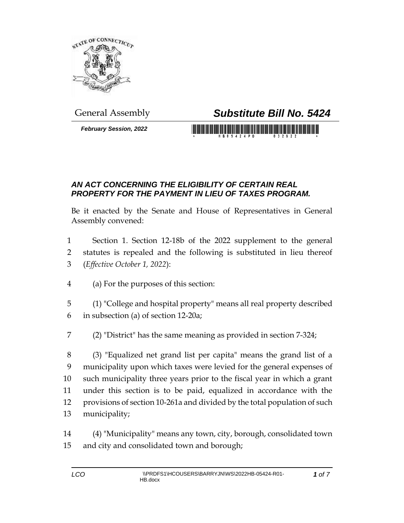

*February Session, 2022*

## General Assembly *Substitute Bill No. 5424*

## <u> 1989 - An Dùbhlachd ann an Dùbhaidh ann an Dùbhaidh ann an Dùbhaidh ann an Dùbhaidh ann an Dùbhaidh ann an Dùb</u>

## *AN ACT CONCERNING THE ELIGIBILITY OF CERTAIN REAL PROPERTY FOR THE PAYMENT IN LIEU OF TAXES PROGRAM.*

Be it enacted by the Senate and House of Representatives in General Assembly convened:

- Section 1. Section 12-18b of the 2022 supplement to the general statutes is repealed and the following is substituted in lieu thereof (*Effective October 1, 2022*):
- (a) For the purposes of this section:
- (1) "College and hospital property" means all real property described in subsection (a) of section 12-20a;
- (2) "District" has the same meaning as provided in section 7-324;

 (3) "Equalized net grand list per capita" means the grand list of a municipality upon which taxes were levied for the general expenses of such municipality three years prior to the fiscal year in which a grant under this section is to be paid, equalized in accordance with the provisions of section 10-261a and divided by the total population of such municipality;

 (4) "Municipality" means any town, city, borough, consolidated town and city and consolidated town and borough;

*of 7*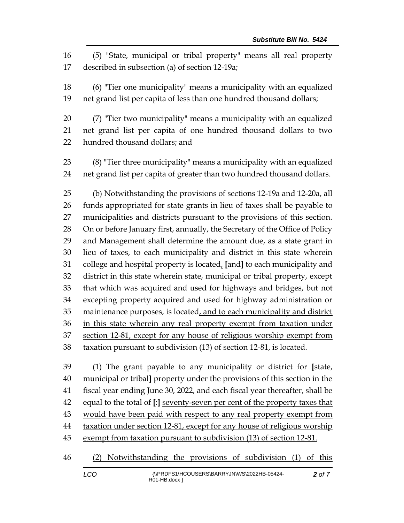(5) "State, municipal or tribal property" means all real property described in subsection (a) of section 12-19a;

 (6) "Tier one municipality" means a municipality with an equalized net grand list per capita of less than one hundred thousand dollars;

 (7) "Tier two municipality" means a municipality with an equalized net grand list per capita of one hundred thousand dollars to two hundred thousand dollars; and

 (8) "Tier three municipality" means a municipality with an equalized net grand list per capita of greater than two hundred thousand dollars.

 (b) Notwithstanding the provisions of sections 12-19a and 12-20a, all funds appropriated for state grants in lieu of taxes shall be payable to municipalities and districts pursuant to the provisions of this section. 28 On or before January first, annually, the Secretary of the Office of Policy and Management shall determine the amount due, as a state grant in lieu of taxes, to each municipality and district in this state wherein college and hospital property is located, **[**and**]** to each municipality and district in this state wherein state, municipal or tribal property, except that which was acquired and used for highways and bridges, but not excepting property acquired and used for highway administration or 35 maintenance purposes, is located, and to each municipality and district in this state wherein any real property exempt from taxation under section 12-81, except for any house of religious worship exempt from 38 taxation pursuant to subdivision (13) of section 12-81, is located.

 (1) The grant payable to any municipality or district for **[**state, municipal or tribal**]** property under the provisions of this section in the fiscal year ending June 30, 2022, and each fiscal year thereafter, shall be equal to the total of **[**:**]** seventy-seven per cent of the property taxes that 43 would have been paid with respect to any real property exempt from taxation under section 12-81, except for any house of religious worship 45 exempt from taxation pursuant to subdivision (13) of section 12-81.

(2) Notwithstanding the provisions of subdivision (1) of this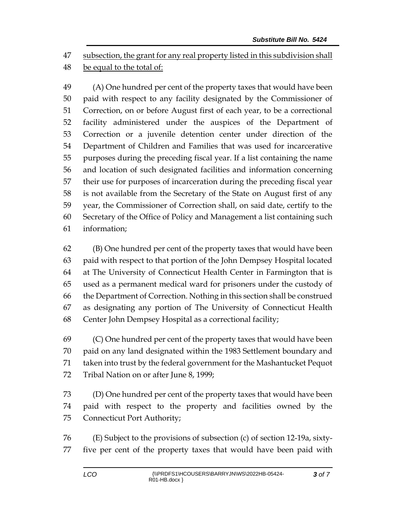subsection, the grant for any real property listed in this subdivision shall be equal to the total of:

 (A) One hundred per cent of the property taxes that would have been paid with respect to any facility designated by the Commissioner of Correction, on or before August first of each year, to be a correctional facility administered under the auspices of the Department of Correction or a juvenile detention center under direction of the Department of Children and Families that was used for incarcerative purposes during the preceding fiscal year. If a list containing the name and location of such designated facilities and information concerning their use for purposes of incarceration during the preceding fiscal year is not available from the Secretary of the State on August first of any year, the Commissioner of Correction shall, on said date, certify to the Secretary of the Office of Policy and Management a list containing such information;

 (B) One hundred per cent of the property taxes that would have been paid with respect to that portion of the John Dempsey Hospital located at The University of Connecticut Health Center in Farmington that is used as a permanent medical ward for prisoners under the custody of the Department of Correction. Nothing in this section shall be construed as designating any portion of The University of Connecticut Health Center John Dempsey Hospital as a correctional facility;

 (C) One hundred per cent of the property taxes that would have been paid on any land designated within the 1983 Settlement boundary and taken into trust by the federal government for the Mashantucket Pequot 72 Tribal Nation on or after June 8, 1999;

 (D) One hundred per cent of the property taxes that would have been paid with respect to the property and facilities owned by the Connecticut Port Authority;

 (E) Subject to the provisions of subsection (c) of section 12-19a, sixty-five per cent of the property taxes that would have been paid with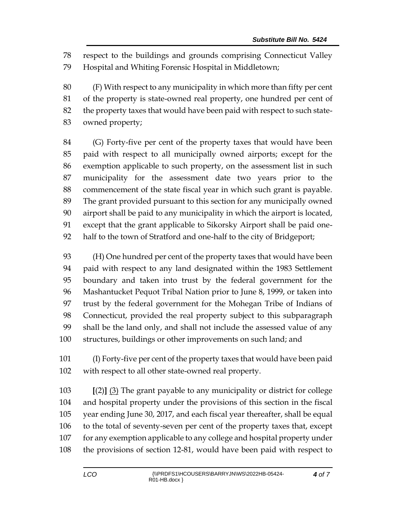respect to the buildings and grounds comprising Connecticut Valley Hospital and Whiting Forensic Hospital in Middletown;

 (F) With respect to any municipality in which more than fifty per cent of the property is state-owned real property, one hundred per cent of the property taxes that would have been paid with respect to such state-owned property;

 (G) Forty-five per cent of the property taxes that would have been paid with respect to all municipally owned airports; except for the exemption applicable to such property, on the assessment list in such municipality for the assessment date two years prior to the commencement of the state fiscal year in which such grant is payable. The grant provided pursuant to this section for any municipally owned airport shall be paid to any municipality in which the airport is located, except that the grant applicable to Sikorsky Airport shall be paid one-half to the town of Stratford and one-half to the city of Bridgeport;

 (H) One hundred per cent of the property taxes that would have been paid with respect to any land designated within the 1983 Settlement boundary and taken into trust by the federal government for the Mashantucket Pequot Tribal Nation prior to June 8, 1999, or taken into trust by the federal government for the Mohegan Tribe of Indians of Connecticut, provided the real property subject to this subparagraph shall be the land only, and shall not include the assessed value of any structures, buildings or other improvements on such land; and

 (I) Forty-five per cent of the property taxes that would have been paid with respect to all other state-owned real property.

 **[**(2)**]** (3) The grant payable to any municipality or district for college and hospital property under the provisions of this section in the fiscal year ending June 30, 2017, and each fiscal year thereafter, shall be equal to the total of seventy-seven per cent of the property taxes that, except 107 for any exemption applicable to any college and hospital property under the provisions of section 12-81, would have been paid with respect to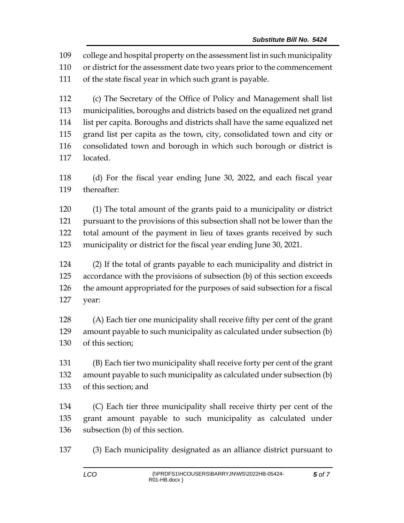college and hospital property on the assessment list in such municipality

or district for the assessment date two years prior to the commencement

of the state fiscal year in which such grant is payable.

 (c) The Secretary of the Office of Policy and Management shall list municipalities, boroughs and districts based on the equalized net grand list per capita. Boroughs and districts shall have the same equalized net grand list per capita as the town, city, consolidated town and city or consolidated town and borough in which such borough or district is located.

 (d) For the fiscal year ending June 30, 2022, and each fiscal year thereafter:

 (1) The total amount of the grants paid to a municipality or district pursuant to the provisions of this subsection shall not be lower than the total amount of the payment in lieu of taxes grants received by such municipality or district for the fiscal year ending June 30, 2021.

 (2) If the total of grants payable to each municipality and district in accordance with the provisions of subsection (b) of this section exceeds the amount appropriated for the purposes of said subsection for a fiscal year:

 (A) Each tier one municipality shall receive fifty per cent of the grant amount payable to such municipality as calculated under subsection (b) of this section;

 (B) Each tier two municipality shall receive forty per cent of the grant amount payable to such municipality as calculated under subsection (b) of this section; and

 (C) Each tier three municipality shall receive thirty per cent of the grant amount payable to such municipality as calculated under subsection (b) of this section.

(3) Each municipality designated as an alliance district pursuant to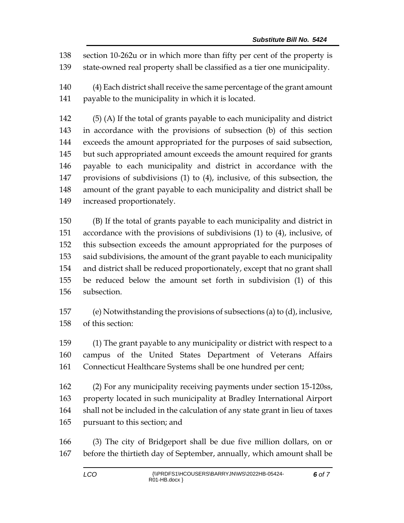section 10-262u or in which more than fifty per cent of the property is state-owned real property shall be classified as a tier one municipality.

 (4) Each district shall receive the same percentage of the grant amount payable to the municipality in which it is located.

 (5) (A) If the total of grants payable to each municipality and district in accordance with the provisions of subsection (b) of this section exceeds the amount appropriated for the purposes of said subsection, but such appropriated amount exceeds the amount required for grants payable to each municipality and district in accordance with the provisions of subdivisions (1) to (4), inclusive, of this subsection, the amount of the grant payable to each municipality and district shall be increased proportionately.

 (B) If the total of grants payable to each municipality and district in accordance with the provisions of subdivisions (1) to (4), inclusive, of this subsection exceeds the amount appropriated for the purposes of said subdivisions, the amount of the grant payable to each municipality and district shall be reduced proportionately, except that no grant shall be reduced below the amount set forth in subdivision (1) of this subsection.

 (e) Notwithstanding the provisions of subsections (a) to (d), inclusive, of this section:

 (1) The grant payable to any municipality or district with respect to a campus of the United States Department of Veterans Affairs Connecticut Healthcare Systems shall be one hundred per cent;

 (2) For any municipality receiving payments under section 15-120ss, property located in such municipality at Bradley International Airport shall not be included in the calculation of any state grant in lieu of taxes pursuant to this section; and

 (3) The city of Bridgeport shall be due five million dollars, on or before the thirtieth day of September, annually, which amount shall be